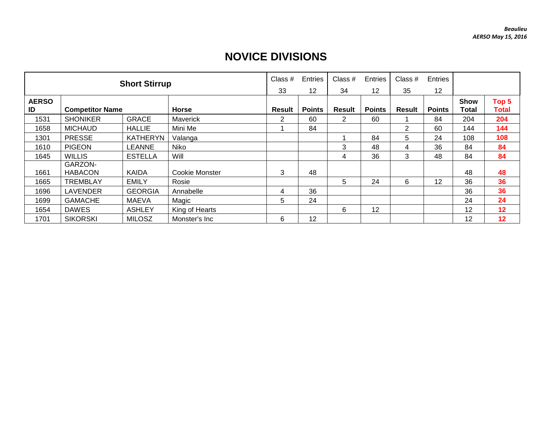## **NOVICE DIVISIONS**

|                    |                           | <b>Short Stirrup</b> |                | Class $#$             | Entries       | Class #        | Entries         | Class #       | Entries       |                      |                                  |
|--------------------|---------------------------|----------------------|----------------|-----------------------|---------------|----------------|-----------------|---------------|---------------|----------------------|----------------------------------|
|                    |                           |                      |                | 33                    | 12            | 34             | 12 <sup>2</sup> | 35            | 12            |                      |                                  |
| <b>AERSO</b><br>ID | <b>Competitor Name</b>    |                      | <b>Horse</b>   | <b>Result</b>         | <b>Points</b> | <b>Result</b>  | <b>Points</b>   | <b>Result</b> | <b>Points</b> | <b>Show</b><br>Total | Top <sub>5</sub><br><b>Total</b> |
| 1531               | <b>SHONIKER</b>           | <b>GRACE</b>         | Maverick       | $\mathbf{2}^{\prime}$ | 60            | $\overline{2}$ | 60              |               | 84            | 204                  | 204                              |
| 1658               | <b>MICHAUD</b>            | <b>HALLIE</b>        | Mini Me        |                       | 84            |                |                 | 2             | 60            | 144                  | 144                              |
| 1301               | <b>PRESSE</b>             | <b>KATHERYN</b>      | Valanga        |                       |               |                | 84              | 5             | 24            | 108                  | 108                              |
| 1610               | <b>PIGEON</b>             | <b>LEANNE</b>        | Niko           |                       |               | 3              | 48              | 4             | 36            | 84                   | 84                               |
| 1645               | <b>WILLIS</b>             | <b>ESTELLA</b>       | Will           |                       |               | 4              | 36              | 3             | 48            | 84                   | 84                               |
| 1661               | GARZON-<br><b>HABACON</b> | <b>KAIDA</b>         | Cookie Monster | 3                     | 48            |                |                 |               |               | 48                   | 48                               |
| 1665               | <b>TREMBLAY</b>           | <b>EMILY</b>         | Rosie          |                       |               | 5              | 24              | 6             | 12            | 36                   | 36                               |
| 1696               | <b>LAVENDER</b>           | <b>GEORGIA</b>       | Annabelle      | 4                     | 36            |                |                 |               |               | 36                   | 36                               |
| 1699               | <b>GAMACHE</b>            | MAEVA                | Magic          | 5                     | 24            |                |                 |               |               | 24                   | 24                               |
| 1654               | <b>DAWES</b>              | <b>ASHLEY</b>        | King of Hearts |                       |               | 6              | 12              |               |               | 12                   | 12                               |
| 1701               | <b>SIKORSKI</b>           | <b>MILOSZ</b>        | Monster's Inc  | 6                     | 12            |                |                 |               |               | 12                   | 12                               |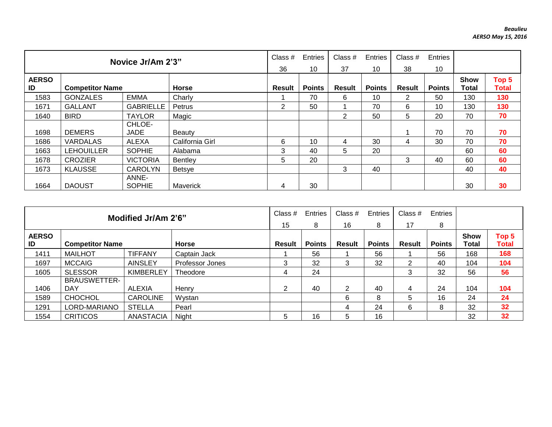|              |                        | Novice Jr/Am 2'3" |                 | Class $#$ | <b>Entries</b> | Class $#$      | <b>Entries</b> | Class $#$     | Entries       |             |                  |
|--------------|------------------------|-------------------|-----------------|-----------|----------------|----------------|----------------|---------------|---------------|-------------|------------------|
|              |                        |                   |                 | 36        | 10             | 37             | 10             | 38            | 10            |             |                  |
| <b>AERSO</b> |                        |                   |                 |           |                |                |                |               |               | <b>Show</b> | Top <sub>5</sub> |
| ID           | <b>Competitor Name</b> |                   | <b>Horse</b>    | Result    | <b>Points</b>  | Result         | <b>Points</b>  | <b>Result</b> | <b>Points</b> | Total       | <b>Total</b>     |
| 1583         | <b>GONZALES</b>        | <b>EMMA</b>       | Charly          |           | 70             | 6              | 10             | 2             | 50            | 130         | 130              |
| 1671         | <b>GALLANT</b>         | <b>GABRIELLE</b>  | Petrus          | 2         | 50             |                | 70             | 6             | 10            | 130         | 130              |
| 1640         | <b>BIRD</b>            | <b>TAYLOR</b>     | Magic           |           |                | $\overline{2}$ | 50             | 5             | 20            | 70          | 70               |
|              |                        | CHLOE-            |                 |           |                |                |                |               |               |             |                  |
| 1698         | <b>DEMERS</b>          | JADE              | <b>Beauty</b>   |           |                |                |                |               | 70            | 70          | 70               |
| 1686         | <b>VARDALAS</b>        | ALEXA             | California Girl | 6         | 10             | 4              | 30             | 4             | 30            | 70          | 70               |
| 1663         | <b>LEHOUILLER</b>      | <b>SOPHIE</b>     | Alabama         | 3         | 40             | 5              | 20             |               |               | 60          | 60               |
| 1678         | <b>CROZIER</b>         | <b>VICTORIA</b>   | Bentley         | 5         | 20             |                |                | 3             | 40            | 60          | 60               |
| 1673         | <b>KLAUSSE</b>         | <b>CAROLYN</b>    | <b>Betsye</b>   |           |                | 3              | 40             |               |               | 40          | 40               |
|              |                        | ANNE-             |                 |           |                |                |                |               |               |             |                  |
| 1664         | <b>DAOUST</b>          | <b>SOPHIE</b>     | Maverick        | 4         | 30             |                |                |               |               | 30          | 30               |

|                    | Modified Jr/Am 2'6"    |                  |                 |        |               | Class $#$     | Entries       | Class $#$ | Entries       |                      |                       |
|--------------------|------------------------|------------------|-----------------|--------|---------------|---------------|---------------|-----------|---------------|----------------------|-----------------------|
|                    |                        |                  |                 |        |               | 16            | 8             | 17        | 8             |                      |                       |
| <b>AERSO</b><br>ID | <b>Competitor Name</b> |                  | <b>Horse</b>    | Result | <b>Points</b> | <b>Result</b> | <b>Points</b> | Result    | <b>Points</b> | <b>Show</b><br>Total | Top 5<br><b>Total</b> |
| 1411               | <b>MAILHOT</b>         | <b>TIFFANY</b>   | Captain Jack    |        | 56            |               | 56            |           | 56            | 168                  | 168                   |
| 1697               | <b>MCCAIG</b>          | <b>AINSLEY</b>   | Professor Jones | 3      | 32            | 3             | 32            | 2         | 40            | 104                  | 104                   |
| 1605               | <b>SLESSOR</b>         | <b>KIMBERLEY</b> | Theodore        | 4      | 24            |               |               | 3         | 32            | 56                   | 56                    |
|                    | <b>BRAUSWETTER-</b>    |                  |                 |        |               |               |               |           |               |                      |                       |
| 1406               | <b>DAY</b>             | ALEXIA           | Henry           | 2      | 40            | 2             | 40            | 4         | 24            | 104                  | 104                   |
| 1589               | <b>CHOCHOL</b>         | <b>CAROLINE</b>  | Wystan          |        |               | 6             | 8             | 5         | 16            | 24                   | 24                    |
| 1291               | LORD-MARIANO           | <b>STELLA</b>    | Pearl           |        |               | 4             | 24            | 6         | 8             | 32                   | 32                    |
| 1554               | <b>CRITICOS</b>        | ANASTACIA        | Night           | 5      | 16            | 5             | 16            |           |               | 32                   | 32                    |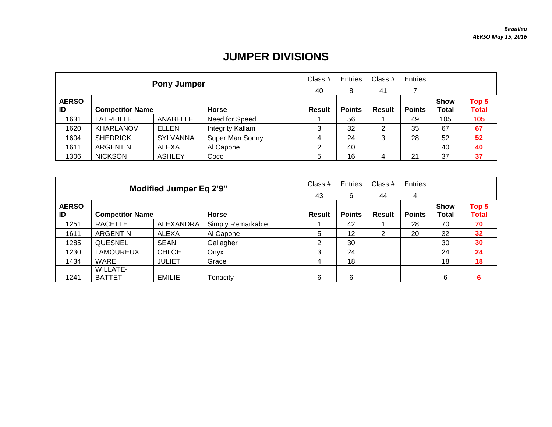## **JUMPER DIVISIONS**

|                    |                                         | Class $#$       | <b>Entries</b>          | Class $#$     | Entries       |               |               |                      |                |
|--------------------|-----------------------------------------|-----------------|-------------------------|---------------|---------------|---------------|---------------|----------------------|----------------|
| <b>Pony Jumper</b> |                                         |                 |                         |               | 8             | 41            |               |                      |                |
| <b>AERSO</b><br>ID | <b>Competitor Name</b>                  |                 | <b>Horse</b>            | <b>Result</b> | <b>Points</b> | <b>Result</b> | <b>Points</b> | <b>Show</b><br>Total | Top 5<br>Total |
| 1631               | <b>LATREILLE</b>                        | ANABELLE        | Need for Speed          |               | 56            |               | 49            | 105                  | 105            |
| 1620               | KHARLANOV                               | <b>ELLEN</b>    | <b>Integrity Kallam</b> |               | 32            | ◠             | 35            | 67                   | 67             |
| 1604               | <b>SHEDRICK</b>                         | <b>SYLVANNA</b> | Super Man Sonny         | 4             | 24            | 3             | 28            | 52                   | 52             |
| 1611               | <b>ARGENTIN</b>                         | ALEXA           | Al Capone               |               | 40            |               |               | 40                   | 40             |
| 1306               | <b>NICKSON</b><br><b>ASHLEY</b><br>Coco |                 |                         |               | 16            | 4             | 21            | 37                   | 37             |

|                    |                                  |               | Class #           | Entries       | Class $#$     | Entries       |               |                      |                |
|--------------------|----------------------------------|---------------|-------------------|---------------|---------------|---------------|---------------|----------------------|----------------|
|                    | <b>Modified Jumper Eq 2'9"</b>   |               |                   |               |               | 44            | 4             |                      |                |
| <b>AERSO</b><br>ID | <b>Competitor Name</b>           |               | <b>Horse</b>      | <b>Result</b> | <b>Points</b> | <b>Result</b> | <b>Points</b> | <b>Show</b><br>Total | Top 5<br>Total |
| 1251               | <b>RACETTE</b>                   | ALEXANDRA     | Simply Remarkable |               | 42            |               | 28            | 70                   | 70             |
| 1611               | ARGENTIN                         | ALEXA         | Al Capone         | 5             | 12            | 2             | 20            | 32                   | 32             |
| 1285               | <b>QUESNEL</b>                   | <b>SEAN</b>   | Gallagher         | 2             | 30            |               |               | 30                   | 30             |
| 1230               | <b>LAMOUREUX</b>                 | <b>CHLOE</b>  | Onyx              | 3             | 24            |               |               | 24                   | 24             |
| 1434               | WARE                             | <b>JULIET</b> | Grace             | 4             | 18            |               |               | 18                   | 18             |
| 1241               | <b>WILLATE-</b><br><b>BATTET</b> | <b>EMILIE</b> | Tenacity          | 6             | 6             |               |               | 6                    | 6              |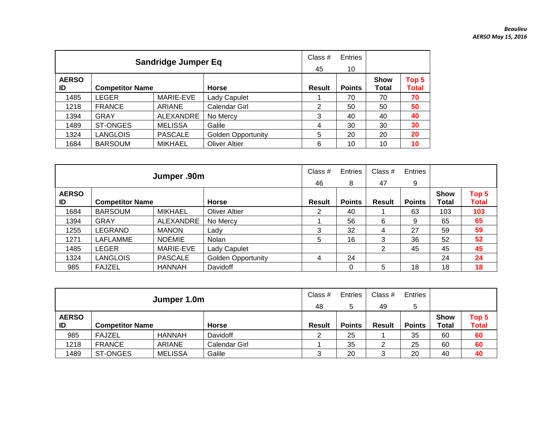## *Beaulieu AERSO May 15, 2016*

|                    |                        | Sandridge Jumper Eq |                           | Class $#$      | Entries       |                      |                |
|--------------------|------------------------|---------------------|---------------------------|----------------|---------------|----------------------|----------------|
|                    |                        | 45                  | 10                        |                |               |                      |                |
| <b>AERSO</b><br>ID | <b>Competitor Name</b> |                     | <b>Horse</b>              | <b>Result</b>  | <b>Points</b> | <b>Show</b><br>Total | Top 5<br>Total |
| 1485               | <b>LEGER</b>           | MARIE-EVE           | Lady Capulet              |                | 70            | 70                   | 70             |
| 1218               | <b>FRANCE</b>          | <b>ARIANE</b>       | Calendar Girl             | $\overline{2}$ | 50            | 50                   | 50             |
| 1394               | <b>GRAY</b>            | ALEXANDRE           | No Mercy                  | 3              | 40            | 40                   | 40             |
| 1489               | ST-ONGES               | <b>MELISSA</b>      | Galile                    | 4              | 30            | 30                   | 30             |
| 1324               | LANGLOIS               | <b>PASCALE</b>      | <b>Golden Opportunity</b> | 5              | 20            | 20                   | 20             |
| 1684               | <b>BARSOUM</b>         | <b>MIKHAEL</b>      | <b>Oliver Altier</b>      | 6              | 10            | 10                   | 10             |

|                    |                        | Jumper .90m    |                           | Class #       | <b>Entries</b> | Class $#$     | Entries       |                      |                       |
|--------------------|------------------------|----------------|---------------------------|---------------|----------------|---------------|---------------|----------------------|-----------------------|
|                    |                        |                |                           | 46            | 8              | 47            | 9             |                      |                       |
| <b>AERSO</b><br>ID | <b>Competitor Name</b> |                | <b>Horse</b>              | <b>Result</b> | <b>Points</b>  | <b>Result</b> | <b>Points</b> | <b>Show</b><br>Total | Top 5<br><b>Total</b> |
| 1684               | <b>BARSOUM</b>         | <b>MIKHAEL</b> | <b>Oliver Altier</b>      | 2             | 40             |               | 63            | 103                  | 103                   |
| 1394               | <b>GRAY</b>            | ALEXANDRE      | No Mercy                  |               | 56             | 6             | 9             | 65                   | 65                    |
| 1255               | LEGRAND                | <b>MANON</b>   | Lady                      | 3             | 32             | 4             | 27            | 59                   | 59                    |
| 1271               | <b>LAFLAMME</b>        | <b>NOËMIE</b>  | Nolan                     | 5             | 16             | 3             | 36            | 52                   | 52                    |
| 1485               | <b>LEGER</b>           | MARIE-EVE      | Lady Capulet              |               |                | 2             | 45            | 45                   | 45                    |
| 1324               | <b>LANGLOIS</b>        | <b>PASCALE</b> | <b>Golden Opportunity</b> | 4             | 24             |               |               | 24                   | 24                    |
| 985                | <b>FAJZEL</b>          | <b>HANNAH</b>  | Davidoff                  |               | 0              | 5             | 18            | 18                   | 18                    |

|              |                        | Class $#$      | Entries       | Class #       | Entries       |               |               |             |              |
|--------------|------------------------|----------------|---------------|---------------|---------------|---------------|---------------|-------------|--------------|
| Jumper 1.0m  |                        |                |               |               | 5             | 49            | -5            |             |              |
| <b>AERSO</b> |                        |                |               |               |               |               |               | <b>Show</b> | Top 5        |
| ID           | <b>Competitor Name</b> |                | <b>Horse</b>  | <b>Result</b> | <b>Points</b> | <b>Result</b> | <b>Points</b> | Total       | <b>Total</b> |
| 985          | FAJZEL                 | <b>HANNAH</b>  | Davidoff      |               | 25            |               | 35            | 60          | 60           |
| 1218         | <b>FRANCE</b>          | <b>ARIANE</b>  | Calendar Girl |               | 35            |               | 25            | 60          | 60           |
| 1489         | ST-ONGES               | <b>MELISSA</b> | Galile        |               | 20            |               | 20            | 40          | 40           |